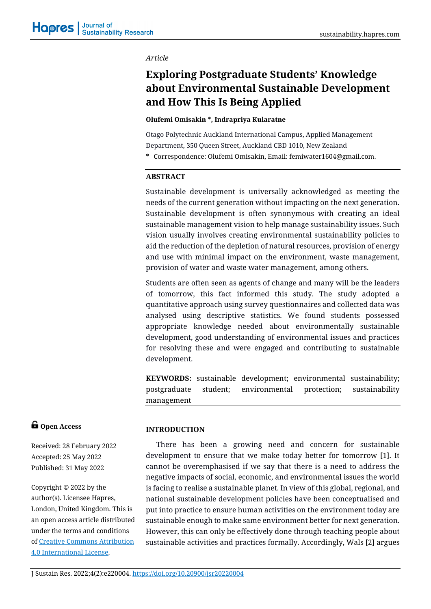### *Article*

# **Exploring Postgraduate Students' Knowledge about Environmental Sustainable Development and How This Is Being Applied**

#### **[Olufemi Omisakin \\*, Indrapriya Kularatne](https://rv.hapres.com/Admin/ManuscriptsDetail.aspx?cid=15B39FA338BAB952&reload=3&type=admin)**

Otago Polytechnic Auckland International Campus, Applied Management Department, 350 Queen Street, Auckland CBD 1010, New Zealand

**\*** Correspondence: Olufemi Omisakin, Email: femiwater1604@gmail.com.

### **ABSTRACT**

Sustainable development is universally acknowledged as meeting the needs of the current generation without impacting on the next generation. Sustainable development is often synonymous with creating an ideal sustainable management vision to help manage sustainability issues. Such vision usually involves creating environmental sustainability policies to aid the reduction of the depletion of natural resources, provision of energy and use with minimal impact on the environment, waste management, provision of water and waste water management, among others.

Students are often seen as agents of change and many will be the leaders of tomorrow, this fact informed this study. The study adopted a quantitative approach using survey questionnaires and collected data was analysed using descriptive statistics. We found students possessed appropriate knowledge needed about environmentally sustainable development, good understanding of environmental issues and practices for resolving these and were engaged and contributing to sustainable development.

**KEYWORDS:** sustainable development; environmental sustainability; postgraduate student; environmental protection; sustainability management

# **G** Open Access

Received: 28 February 2022 Accepted: 25 May 2022 Published: 31 May 2022

Copyright © 2022 by the author(s). Licensee Hapres, London, United Kingdom. This is an open access article distributed under the terms and conditions of [Creative Commons Attribution](https://creativecommons.org/licenses/by/4.0/)  [4.0 International License.](https://creativecommons.org/licenses/by/4.0/)

### **INTRODUCTION**

There has been a growing need and concern for sustainable development to ensure that we make today better for tomorrow [1]. It cannot be overemphasised if we say that there is a need to address the negative impacts of social, economic, and environmental issues the world is facing to realise a sustainable planet. In view of this global, regional, and national sustainable development policies have been conceptualised and put into practice to ensure human activities on the environment today are sustainable enough to make same environment better for next generation. However, this can only be effectively done through teaching people about sustainable activities and practices formally. Accordingly, Wals [2] argues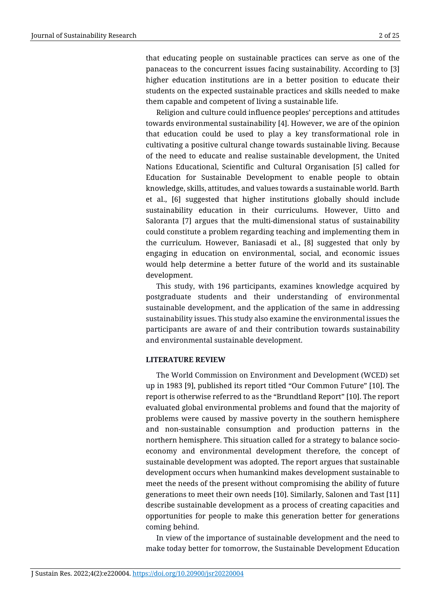that educating people on sustainable practices can serve as one of the panaceas to the concurrent issues facing sustainability. According to [3] higher education institutions are in a better position to educate their students on the expected sustainable practices and skills needed to make them capable and competent of living a sustainable life.

Religion and culture could influence peoples' perceptions and attitudes towards environmental sustainability [4]. However, we are of the opinion that education could be used to play a key transformational role in cultivating a positive cultural change towards sustainable living. Because of the need to educate and realise sustainable development, the United Nations Educational, Scientific and Cultural Organisation [5] called for Education for Sustainable Development to enable people to obtain knowledge, skills, attitudes, and values towards a sustainable world. Barth et al., [6] suggested that higher institutions globally should include sustainability education in their curriculums. However, Uitto and Saloranta [7] argues that the multi-dimensional status of sustainability could constitute a problem regarding teaching and implementing them in the curriculum. However, Baniasadi et al., [8] suggested that only by engaging in education on environmental, social, and economic issues would help determine a better future of the world and its sustainable development.

This study, with 196 participants, examines knowledge acquired by postgraduate students and their understanding of environmental sustainable development, and the application of the same in addressing sustainability issues. This study also examine the environmental issues the participants are aware of and their contribution towards sustainability and environmental sustainable development.

### **LITERATURE REVIEW**

The World Commission on Environment and Development (WCED) set up in 1983 [9], published its report titled "Our Common Future" [10]. The report is otherwise referred to as the "Brundtland Report" [10]. The report evaluated global environmental problems and found that the majority of problems were caused by massive poverty in the southern hemisphere and non-sustainable consumption and production patterns in the northern hemisphere. This situation called for a strategy to balance socioeconomy and environmental development therefore, the concept of sustainable development was adopted. The report argues that sustainable development occurs when humankind makes development sustainable to meet the needs of the present without compromising the ability of future generations to meet their own needs [10]. Similarly, Salonen and Tast [11] describe sustainable development as a process of creating capacities and opportunities for people to make this generation better for generations coming behind.

In view of the importance of sustainable development and the need to make today better for tomorrow, the Sustainable Development Education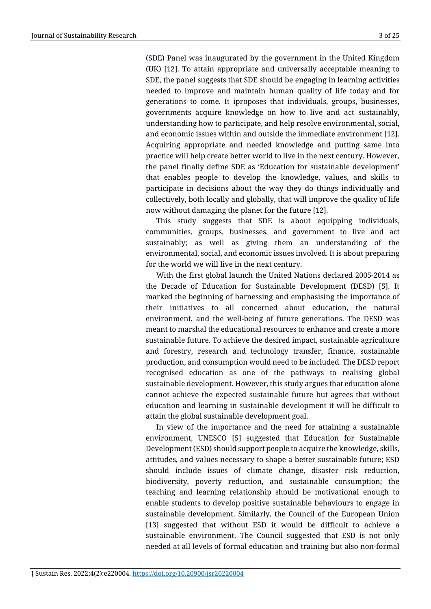(SDE) Panel was inaugurated by the government in the United Kingdom (UK) [12]. To attain appropriate and universally acceptable meaning to SDE, the panel suggests that SDE should be engaging in learning activities needed to improve and maintain human quality of life today and for generations to come. It iproposes that individuals, groups, businesses, governments acquire knowledge on how to live and act sustainably, understanding how to participate, and help resolve environmental, social, and economic issues within and outside the immediate environment [12]. Acquiring appropriate and needed knowledge and putting same into practice will help create better world to live in the next century. However, the panel finally define SDE as 'Education for sustainable development' that enables people to develop the knowledge, values, and skills to participate in decisions about the way they do things individually and collectively, both locally and globally, that will improve the quality of life now without damaging the planet for the future [12].

This study suggests that SDE is about equipping individuals, communities, groups, businesses, and government to live and act sustainably; as well as giving them an understanding of the environmental, social, and economic issues involved. It is about preparing for the world we will live in the next century.

With the first global launch the United Nations declared 2005-2014 as the Decade of Education for Sustainable Development (DESD) [5]. It marked the beginning of harnessing and emphasising the importance of their initiatives to all concerned about education, the natural environment, and the well-being of future generations. The DESD was meant to marshal the educational resources to enhance and create a more sustainable future. To achieve the desired impact, sustainable agriculture and forestry, research and technology transfer, finance, sustainable production, and consumption would need to be included. The DESD report recognised education as one of the pathways to realising global sustainable development. However, this study argues that education alone cannot achieve the expected sustainable future but agrees that without education and learning in sustainable development it will be difficult to attain the global sustainable development goal.

In view of the importance and the need for attaining a sustainable environment, UNESCO [5] suggested that Education for Sustainable Development (ESD) should support people to acquire the knowledge, skills, attitudes, and values necessary to shape a better sustainable future; ESD should include issues of climate change, disaster risk reduction, biodiversity, poverty reduction, and sustainable consumption; the teaching and learning relationship should be motivational enough to enable students to develop positive sustainable behaviours to engage in sustainable development. Similarly, the Council of the European Union [13] suggested that without ESD it would be difficult to achieve a sustainable environment. The Council suggested that ESD is not only needed at all levels of formal education and training but also non-formal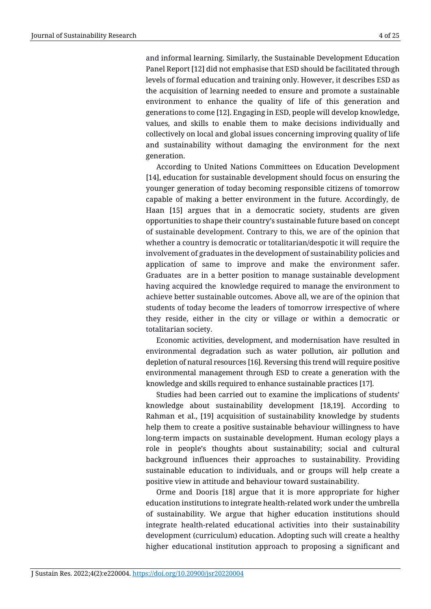generation.

and informal learning. Similarly, the Sustainable Development Education Panel Report [12] did not emphasise that ESD should be facilitated through levels of formal education and training only. However, it describes ESD as the acquisition of learning needed to ensure and promote a sustainable environment to enhance the quality of life of this generation and generations to come [12]. Engaging in ESD, people will develop knowledge, values, and skills to enable them to make decisions individually and collectively on local and global issues concerning improving quality of life and sustainability without damaging the environment for the next

According to United Nations Committees on Education Development [14], education for sustainable development should focus on ensuring the younger generation of today becoming responsible citizens of tomorrow capable of making a better environment in the future. Accordingly, de Haan [15] argues that in a democratic society, students are given opportunities to shape their country's sustainable future based on concept of sustainable development. Contrary to this, we are of the opinion that whether a country is democratic or totalitarian/despotic it will require the involvement of graduates in the development of sustainability policies and application of same to improve and make the environment safer. Graduates are in a better position to manage sustainable development having acquired the knowledge required to manage the environment to achieve better sustainable outcomes. Above all, we are of the opinion that students of today become the leaders of tomorrow irrespective of where they reside, either in the city or village or within a democratic or totalitarian society.

Economic activities, development, and modernisation have resulted in environmental degradation such as water pollution, air pollution and depletion of natural resources [16]. Reversing this trend will require positive environmental management through ESD to create a generation with the knowledge and skills required to enhance sustainable practices [17].

Studies had been carried out to examine the implications of students' knowledge about sustainability development [18,19]. According to Rahman et al., [19] acquisition of sustainability knowledge by students help them to create a positive sustainable behaviour willingness to have long-term impacts on sustainable development. Human ecology plays a role in people's thoughts about sustainability; social and cultural background influences their approaches to sustainability. Providing sustainable education to individuals, and or groups will help create a positive view in attitude and behaviour toward sustainability.

Orme and Dooris [18] argue that it is more appropriate for higher education institutions to integrate health-related work under the umbrella of sustainability. We argue that higher education institutions should integrate health-related educational activities into their sustainability development (curriculum) education. Adopting such will create a healthy higher educational institution approach to proposing a significant and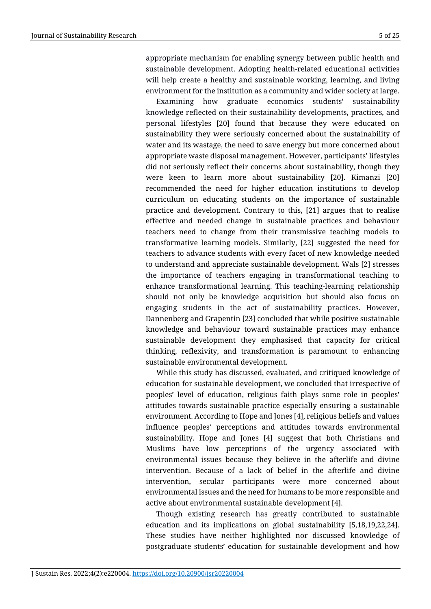appropriate mechanism for enabling synergy between public health and sustainable development. Adopting health-related educational activities will help create a healthy and sustainable working, learning, and living environment for the institution as a community and wider society at large.

Examining how graduate economics students' sustainability knowledge reflected on their sustainability developments, practices, and personal lifestyles [20] found that because they were educated on sustainability they were seriously concerned about the sustainability of water and its wastage, the need to save energy but more concerned about appropriate waste disposal management. However, participants' lifestyles did not seriously reflect their concerns about sustainability, though they were keen to learn more about sustainability [20]. Kimanzi [20] recommended the need for higher education institutions to develop curriculum on educating students on the importance of sustainable practice and development. Contrary to this, [21] argues that to realise effective and needed change in sustainable practices and behaviour teachers need to change from their transmissive teaching models to transformative learning models. Similarly, [22] suggested the need for teachers to advance students with every facet of new knowledge needed to understand and appreciate sustainable development. Wals [2] stresses the importance of teachers engaging in transformational teaching to enhance transformational learning. This teaching-learning relationship should not only be knowledge acquisition but should also focus on engaging students in the act of sustainability practices. However, Dannenberg and Grapentin [23] concluded that while positive sustainable knowledge and behaviour toward sustainable practices may enhance sustainable development they emphasised that capacity for critical thinking, reflexivity, and transformation is paramount to enhancing sustainable environmental development.

While this study has discussed, evaluated, and critiqued knowledge of education for sustainable development, we concluded that irrespective of peoples' level of education, religious faith plays some role in peoples' attitudes towards sustainable practice especially ensuring a sustainable environment. According to Hope and Jones [4], religious beliefs and values influence peoples' perceptions and attitudes towards environmental sustainability. Hope and Jones [4] suggest that both Christians and Muslims have low perceptions of the urgency associated with environmental issues because they believe in the afterlife and divine intervention. Because of a lack of belief in the afterlife and divine intervention, secular participants were more concerned about environmental issues and the need for humans to be more responsible and active about environmental sustainable development [4].

Though existing research has greatly contributed to sustainable education and its implications on global sustainability [5,18,19,22,24]. These studies have neither highlighted nor discussed knowledge of postgraduate students' education for sustainable development and how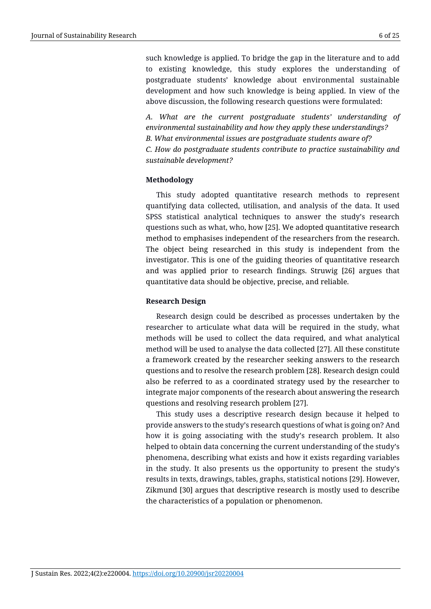such knowledge is applied. To bridge the gap in the literature and to add to existing knowledge, this study explores the understanding of postgraduate students' knowledge about environmental sustainable development and how such knowledge is being applied. In view of the above discussion, the following research questions were formulated:

*A. What are the current postgraduate students' understanding of environmental sustainability and how they apply these understandings? B. What environmental issues are postgraduate students aware of? C. How do postgraduate students contribute to practice sustainability and sustainable development?*

### **Methodology**

This study adopted quantitative research methods to represent quantifying data collected, utilisation, and analysis of the data. It used SPSS statistical analytical techniques to answer the study's research questions such as what, who, how [25]. We adopted quantitative research method to emphasises independent of the researchers from the research. The object being researched in this study is independent from the investigator. This is one of the guiding theories of quantitative research and was applied prior to research findings. Struwig [26] argues that quantitative data should be objective, precise, and reliable.

### **Research Design**

Research design could be described as processes undertaken by the researcher to articulate what data will be required in the study, what methods will be used to collect the data required, and what analytical method will be used to analyse the data collected [27]. All these constitute a framework created by the researcher seeking answers to the research questions and to resolve the research problem [28]. Research design could also be referred to as a coordinated strategy used by the researcher to integrate major components of the research about answering the research questions and resolving research problem [27].

This study uses a descriptive research design because it helped to provide answers to the study's research questions of what is going on? And how it is going associating with the study's research problem. It also helped to obtain data concerning the current understanding of the study's phenomena, describing what exists and how it exists regarding variables in the study. It also presents us the opportunity to present the study's results in texts, drawings, tables, graphs, statistical notions [29]. However, Zikmund [30] argues that descriptive research is mostly used to describe the characteristics of a population or phenomenon.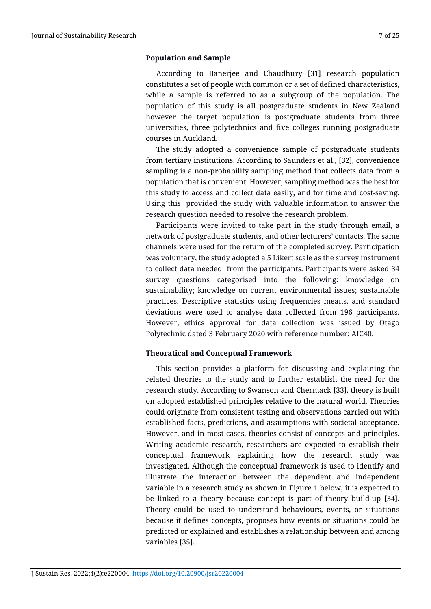### **Population and Sample**

According to Banerjee and Chaudhury [31] research population constitutes a set of people with common or a set of defined characteristics, while a sample is referred to as a subgroup of the population. The population of this study is all postgraduate students in New Zealand however the target population is postgraduate students from three universities, three polytechnics and five colleges running postgraduate courses in Auckland.

The study adopted a convenience sample of postgraduate students from tertiary institutions. According to Saunders et al., [32], convenience sampling is a non-probability sampling method that collects data from a population that is convenient. However, sampling method was the best for this study to access and collect data easily, and for time and cost-saving. Using this provided the study with valuable information to answer the research question needed to resolve the research problem.

Participants were invited to take part in the study through email, a network of postgraduate students, and other lecturers' contacts. The same channels were used for the return of the completed survey. Participation was voluntary, the study adopted a 5 Likert scale as the survey instrument to collect data needed from the participants. Participants were asked 34 survey questions categorised into the following: knowledge on sustainability; knowledge on current environmental issues; sustainable practices. Descriptive statistics using frequencies means, and standard deviations were used to analyse data collected from 196 participants. However, ethics approval for data collection was issued by Otago Polytechnic dated 3 February 2020 with reference number: AIC40.

### **Theoratical and Conceptual Framework**

This section provides a platform for discussing and explaining the related theories to the study and to further establish the need for the research study. According to Swanson and Chermack [33], theory is built on adopted established principles relative to the natural world. Theories could originate from consistent testing and observations carried out with established facts, predictions, and assumptions with societal acceptance. However, and in most cases, theories consist of concepts and principles. Writing academic research, researchers are expected to establish their conceptual framework explaining how the research study was investigated. Although the conceptual framework is used to identify and illustrate the interaction between the dependent and independent variable in a research study as shown in Figure 1 below, it is expected to be linked to a theory because concept is part of theory build-up [34]. Theory could be used to understand behaviours, events, or situations because it defines concepts, proposes how events or situations could be predicted or explained and establishes a relationship between and among variables [35].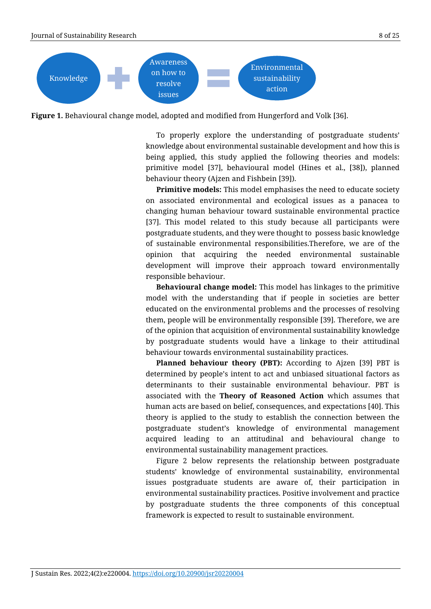

**Figure 1.** Behavioural change model, adopted and modified from Hungerford and Volk [36].

To properly explore the understanding of postgraduate students' knowledge about environmental sustainable development and how this is being applied, this study applied the following theories and models: primitive model [37], behavioural model (Hines et al., [38]), planned behaviour theory (Ajzen and Fishbein [39]).

**Primitive models:** This model emphasises the need to educate society on associated environmental and ecological issues as a panacea to changing human behaviour toward sustainable environmental practice [37]. This model related to this study because all participants were postgraduate students, and they were thought to possess basic knowledge of sustainable environmental responsibilities.Therefore, we are of the opinion that acquiring the needed environmental sustainable development will improve their approach toward environmentally responsible behaviour.

**Behavioural change model:** This model has linkages to the primitive model with the understanding that if people in societies are better educated on the environmental problems and the processes of resolving them, people will be environmentally responsible [39]. Therefore, we are of the opinion that acquisition of environmental sustainability knowledge by postgraduate students would have a linkage to their attitudinal behaviour towards environmental sustainability practices.

**Planned behaviour theory (PBT):** According to Ajzen [39] PBT is determined by people's intent to act and unbiased situational factors as determinants to their sustainable environmental behaviour. PBT is associated with the **Theory of Reasoned Action** which assumes that human acts are based on belief, consequences, and expectations [40]. This theory is applied to the study to establish the connection between the postgraduate student's knowledge of environmental management acquired leading to an attitudinal and behavioural change to environmental sustainability management practices.

Figure 2 below represents the relationship between postgraduate students' knowledge of environmental sustainability, environmental issues postgraduate students are aware of, their participation in environmental sustainability practices. Positive involvement and practice by postgraduate students the three components of this conceptual framework is expected to result to sustainable environment.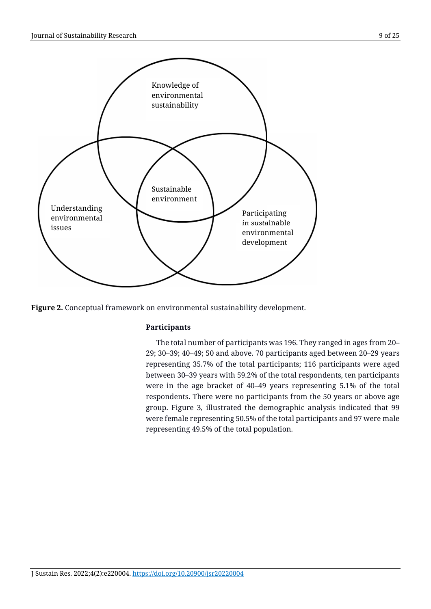

**Figure 2.** Conceptual framework on environmental sustainability development.

# **Participants**

The total number of participants was 196. They ranged in ages from 20– 29; 30–39; 40–49; 50 and above. 70 participants aged between 20–29 years representing 35.7% of the total participants; 116 participants were aged between 30–39 years with 59.2% of the total respondents, ten participants were in the age bracket of 40–49 years representing 5.1% of the total respondents. There were no participants from the 50 years or above age group. Figure 3, illustrated the demographic analysis indicated that 99 were female representing 50.5% of the total participants and 97 were male representing 49.5% of the total population.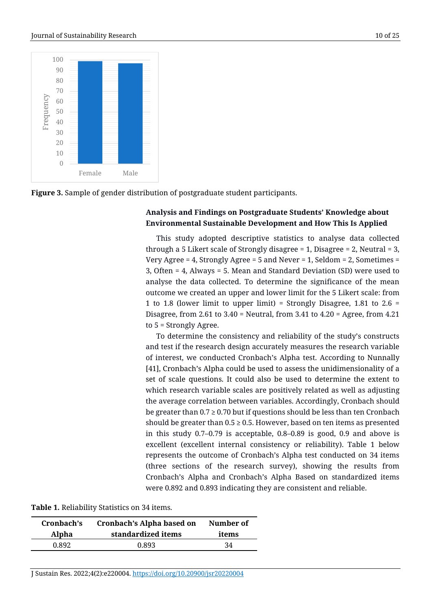

**Figure 3.** Sample of gender distribution of postgraduate student participants.

# **Analysis and Findings on Postgraduate Students' Knowledge about Environmental Sustainable Development and How This Is Applied**

This study adopted descriptive statistics to analyse data collected through a 5 Likert scale of Strongly disagree  $= 1$ , Disagree  $= 2$ , Neutral  $= 3$ , Very Agree = 4, Strongly Agree = 5 and Never = 1, Seldom = 2, Sometimes = 3, Often = 4, Always = 5. Mean and Standard Deviation (SD) were used to analyse the data collected. To determine the significance of the mean outcome we created an upper and lower limit for the 5 Likert scale: from 1 to 1.8 (lower limit to upper limit) = Strongly Disagree, 1.81 to 2.6 = Disagree, from 2.61 to  $3.40$  = Neutral, from  $3.41$  to  $4.20$  = Agree, from  $4.21$ to 5 = Strongly Agree.

To determine the consistency and reliability of the study's constructs and test if the research design accurately measures the research variable of interest, we conducted Cronbach's Alpha test. According to Nunnally [41], Cronbach's Alpha could be used to assess the unidimensionality of a set of scale questions. It could also be used to determine the extent to which research variable scales are positively related as well as adjusting the average correlation between variables. Accordingly, Cronbach should be greater than  $0.7 \ge 0.70$  but if questions should be less than ten Cronbach should be greater than  $0.5 \ge 0.5$ . However, based on ten items as presented in this study 0.7–0.79 is acceptable, 0.8–0.89 is good, 0.9 and above is excellent (excellent internal consistency or reliability). Table 1 below represents the outcome of Cronbach's Alpha test conducted on 34 items (three sections of the research survey), showing the results from Cronbach's Alpha and Cronbach's Alpha Based on standardized items were 0.892 and 0.893 indicating they are consistent and reliable.

| Cronbach's | Cronbach's Alpha based on | Number of |
|------------|---------------------------|-----------|
| Alpha      | standardized items        | items     |
| 0.892      | 0.893                     | 34        |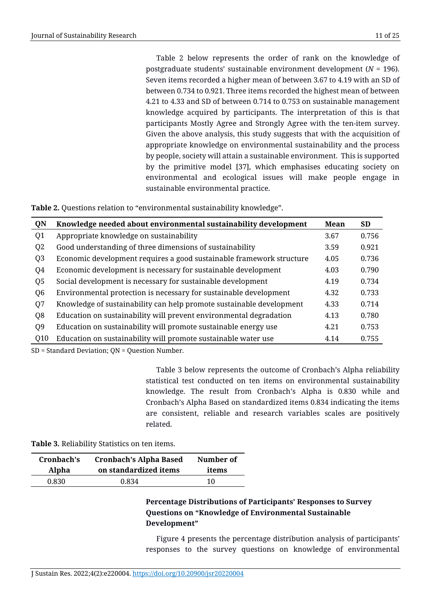Table 2 below represents the order of rank on the knowledge of postgraduate students' sustainable environment development (*N* = 196). Seven items recorded a higher mean of between 3.67 to 4.19 with an SD of between 0.734 to 0.921. Three items recorded the highest mean of between 4.21 to 4.33 and SD of between 0.714 to 0.753 on sustainable management knowledge acquired by participants. The interpretation of this is that participants Mostly Agree and Strongly Agree with the ten-item survey. Given the above analysis, this study suggests that with the acquisition of appropriate knowledge on environmental sustainability and the process by people, society will attain a sustainable environment. This is supported by the primitive model [37], which emphasises educating society on environmental and ecological issues will make people engage in sustainable environmental practice.

**Table 2.** Questions relation to "environmental sustainability knowledge".

| QN             | Knowledge needed about environmental sustainability development      | Mean | <b>SD</b> |
|----------------|----------------------------------------------------------------------|------|-----------|
| Q <sub>1</sub> | Appropriate knowledge on sustainability                              | 3.67 | 0.756     |
| Q <sub>2</sub> | Good understanding of three dimensions of sustainability             | 3.59 | 0.921     |
| Q <sub>3</sub> | Economic development requires a good sustainable framework structure | 4.05 | 0.736     |
| Q4             | Economic development is necessary for sustainable development        | 4.03 | 0.790     |
| Q <sub>5</sub> | Social development is necessary for sustainable development          | 4.19 | 0.734     |
| Q <sub>6</sub> | Environmental protection is necessary for sustainable development    | 4.32 | 0.733     |
| Q7             | Knowledge of sustainability can help promote sustainable development | 4.33 | 0.714     |
| Q <sub>8</sub> | Education on sustainability will prevent environmental degradation   | 4.13 | 0.780     |
| Q <sub>9</sub> | Education on sustainability will promote sustainable energy use      | 4.21 | 0.753     |
| Q10            | Education on sustainability will promote sustainable water use       | 4.14 | 0.755     |
|                |                                                                      |      |           |

SD = Standard Deviation; QN = Question Number.

Table 3 below represents the outcome of Cronbach's Alpha reliability statistical test conducted on ten items on environmental sustainability knowledge. The result from Cronbach's Alpha is 0.830 while and Cronbach's Alpha Based on standardized items 0.834 indicating the items are consistent, reliable and research variables scales are positively related.

**Table 3.** Reliability Statistics on ten items.

| Cronbach's | <b>Cronbach's Alpha Based</b> |       |
|------------|-------------------------------|-------|
| Alpha      | on standardized items         | items |
| 0.830      | 0.834                         | 10    |

# **Percentage Distributions of Participants' Responses to Survey Questions on "Knowledge of Environmental Sustainable Development"**

Figure 4 presents the percentage distribution analysis of participants' responses to the survey questions on knowledge of environmental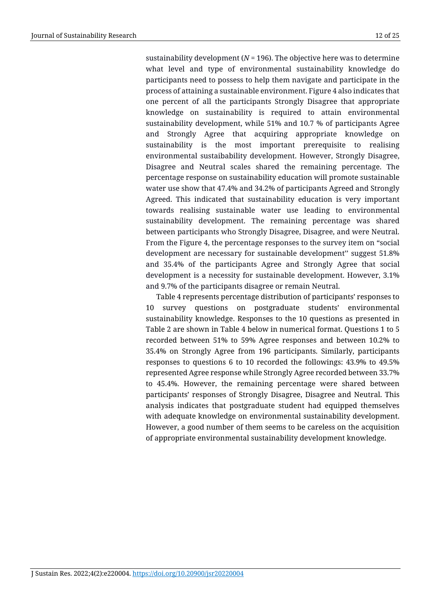sustainability development ( $N = 196$ ). The objective here was to determine what level and type of environmental sustainability knowledge do participants need to possess to help them navigate and participate in the process of attaining a sustainable environment. Figure 4 also indicates that one percent of all the participants Strongly Disagree that appropriate knowledge on sustainability is required to attain environmental sustainability development, while 51% and 10.7 % of participants Agree and Strongly Agree that acquiring appropriate knowledge on sustainability is the most important prerequisite to realising environmental sustaibability development. However, Strongly Disagree, Disagree and Neutral scales shared the remaining percentage. The percentage response on sustainability education will promote sustainable water use show that 47.4% and 34.2% of participants Agreed and Strongly Agreed. This indicated that sustainability education is very important towards realising sustainable water use leading to environmental sustainability development. The remaining percentage was shared between participants who Strongly Disagree, Disagree, and were Neutral. From the Figure 4, the percentage responses to the survey item on "social development are necessary for sustainable development'' suggest 51.8% and 35.4% of the participants Agree and Strongly Agree that social development is a necessity for sustainable development. However, 3.1% and 9.7% of the participants disagree or remain Neutral.

Table 4 represents percentage distribution of participants' responses to 10 survey questions on postgraduate students' environmental sustainability knowledge. Responses to the 10 questions as presented in Table 2 are shown in Table 4 below in numerical format. Questions 1 to 5 recorded between 51% to 59% Agree responses and between 10.2% to 35.4% on Strongly Agree from 196 participants. Similarly, participants responses to questions 6 to 10 recorded the followings: 43.9% to 49.5% represented Agree response while Strongly Agree recorded between 33.7% to 45.4%. However, the remaining percentage were shared between participants' responses of Strongly Disagree, Disagree and Neutral. This analysis indicates that postgraduate student had equipped themselves with adequate knowledge on environmental sustainability development. However, a good number of them seems to be careless on the acquisition of appropriate environmental sustainability development knowledge.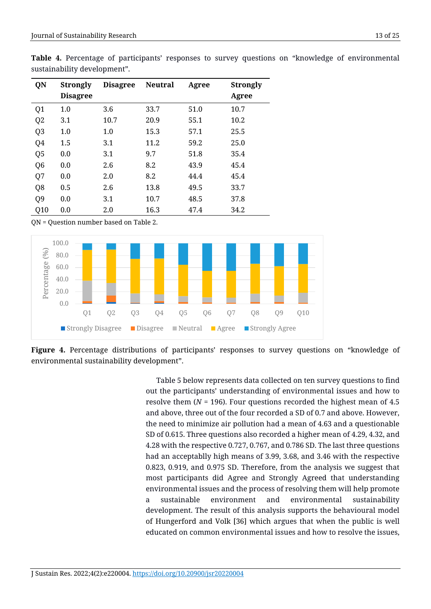|                | sustalitability develophiem . |                 |                |       |                 |  |
|----------------|-------------------------------|-----------------|----------------|-------|-----------------|--|
| QN             | <b>Strongly</b>               | <b>Disagree</b> | <b>Neutral</b> | Agree | <b>Strongly</b> |  |
|                | <b>Disagree</b>               |                 |                |       | Agree           |  |
| Q <sub>1</sub> | 1.0                           | 3.6             | 33.7           | 51.0  | 10.7            |  |
| Q <sub>2</sub> | 3.1                           | 10.7            | 20.9           | 55.1  | 10.2            |  |
| Q <sub>3</sub> | 1.0                           | 1.0             | 15.3           | 57.1  | 25.5            |  |
| Q4             | 1.5                           | 3.1             | 11.2           | 59.2  | 25.0            |  |
| Q <sub>5</sub> | 0.0                           | 3.1             | 9.7            | 51.8  | 35.4            |  |
| Q <sub>6</sub> | 0.0                           | 2.6             | 8.2            | 43.9  | 45.4            |  |
| Q7             | 0.0                           | 2.0             | 8.2            | 44.4  | 45.4            |  |
| Q8             | 0.5                           | 2.6             | 13.8           | 49.5  | 33.7            |  |
| Q <sub>9</sub> | 0.0                           | 3.1             | 10.7           | 48.5  | 37.8            |  |
| Q10            | 0.0                           | 2.0             | 16.3           | 47.4  | 34.2            |  |

**Table 4.** Percentage of participants' responses to survey questions on "knowledge of environmental sustainability development".

QN = Question number based on Table 2.



**Figure 4.** Percentage distributions of participants' responses to survey questions on "knowledge of environmental sustainability development".

Table 5 below represents data collected on ten survey questions to find out the participants' understanding of environmental issues and how to resolve them (*N* = 196). Four questions recorded the highest mean of 4.5 and above, three out of the four recorded a SD of 0.7 and above. However, the need to minimize air pollution had a mean of 4.63 and a questionable SD of 0.615. Three questions also recorded a higher mean of 4.29, 4.32, and 4.28 with the respective 0.727, 0.767, and 0.786 SD. The last three questions had an acceptablly high means of 3.99, 3.68, and 3.46 with the respective 0.823, 0.919, and 0.975 SD. Therefore, from the analysis we suggest that most participants did Agree and Strongly Agreed that understanding environmental issues and the process of resolving them will help promote a sustainable environment and environmental sustainability development. The result of this analysis supports the behavioural model of Hungerford and Volk [36] which argues that when the public is well educated on common environmental issues and how to resolve the issues,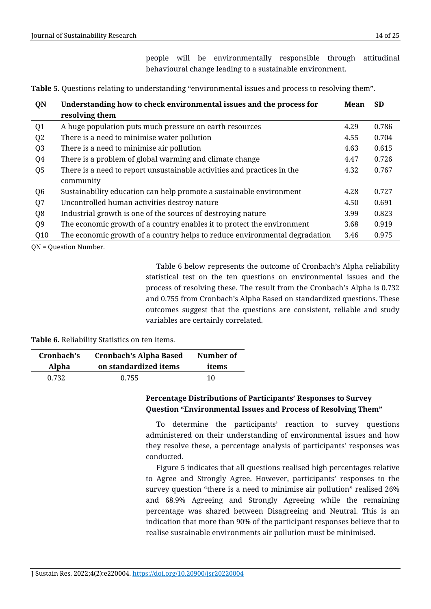people will be environmentally responsible through attitudinal behavioural change leading to a sustainable environment.

| QN             | Understanding how to check environmental issues and the process for<br>resolving them | Mean | <b>SD</b> |
|----------------|---------------------------------------------------------------------------------------|------|-----------|
| Q1             | A huge population puts much pressure on earth resources                               | 4.29 | 0.786     |
| Q <sub>2</sub> | There is a need to minimise water pollution                                           | 4.55 | 0.704     |
| Q <sub>3</sub> | There is a need to minimise air pollution                                             | 4.63 | 0.615     |
| Q4             | There is a problem of global warming and climate change                               | 4.47 | 0.726     |
| Q <sub>5</sub> | There is a need to report unsustainable activities and practices in the               | 4.32 | 0.767     |
|                | community                                                                             |      |           |
| Q <sub>6</sub> | Sustainability education can help promote a sustainable environment                   | 4.28 | 0.727     |
| Q7             | Uncontrolled human activities destroy nature                                          | 4.50 | 0.691     |
| Q <sub>8</sub> | Industrial growth is one of the sources of destroying nature                          | 3.99 | 0.823     |
| Q <sub>9</sub> | The economic growth of a country enables it to protect the environment                | 3.68 | 0.919     |
| Q10            | The economic growth of a country helps to reduce environmental degradation            | 3.46 | 0.975     |

**Table 5.** Questions relating to understanding "environmental issues and process to resolving them".

QN = Question Number.

Table 6 below represents the outcome of Cronbach's Alpha reliability statistical test on the ten questions on environmental issues and the process of resolving these. The result from the Cronbach's Alpha is 0.732 and 0.755 from Cronbach's Alpha Based on standardized questions. These outcomes suggest that the questions are consistent, reliable and study variables are certainly correlated.

**Table 6.** Reliability Statistics on ten items.

| Cronbach's | <b>Cronbach's Alpha Based</b> | Number of |
|------------|-------------------------------|-----------|
| Alpha      | on standardized items         | items     |
| 0.732      | 0.755                         | 10        |

# **Percentage Distributions of Participants' Responses to Survey Question "Environmental Issues and Process of Resolving Them"**

To determine the participants' reaction to survey questions administered on their understanding of environmental issues and how they resolve these, a percentage analysis of participants' responses was conducted.

Figure 5 indicates that all questions realised high percentages relative to Agree and Strongly Agree. However, participants' responses to the survey question "there is a need to minimise air pollution" realised 26% and 68.9% Agreeing and Strongly Agreeing while the remaining percentage was shared between Disagreeing and Neutral. This is an indication that more than 90% of the participant responses believe that to realise sustainable environments air pollution must be minimised.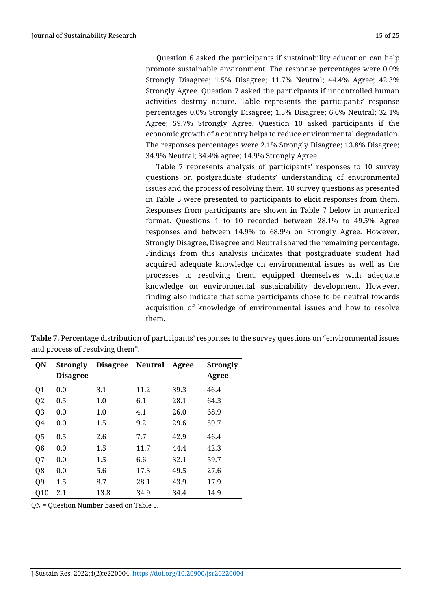Question 6 asked the participants if sustainability education can help promote sustainable environment. The response percentages were 0.0% Strongly Disagree; 1.5% Disagree; 11.7% Neutral; 44.4% Agree; 42.3% Strongly Agree. Question 7 asked the participants if uncontrolled human activities destroy nature. Table represents the participants' response percentages 0.0% Strongly Disagree; 1.5% Disagree; 6.6% Neutral; 32.1% Agree; 59.7% Strongly Agree. Question 10 asked participants if the economic growth of a country helps to reduce environmental degradation. The responses percentages were 2.1% Strongly Disagree; 13.8% Disagree; 34.9% Neutral; 34.4% agree; 14.9% Strongly Agree.

Table 7 represents analysis of participants' responses to 10 survey questions on postgraduate students' understanding of environmental issues and the process of resolving them. 10 survey questions as presented in Table 5 were presented to participants to elicit responses from them. Responses from participants are shown in Table 7 below in numerical format. Questions 1 to 10 recorded between 28.1% to 49.5% Agree responses and between 14.9% to 68.9% on Strongly Agree. However, Strongly Disagree, Disagree and Neutral shared the remaining percentage. Findings from this analysis indicates that postgraduate student had acquired adequate knowledge on environmental issues as well as the processes to resolving them. equipped themselves with adequate knowledge on environmental sustainability development. However, finding also indicate that some participants chose to be neutral towards acquisition of knowledge of environmental issues and how to resolve them.

| <b>Table</b> 7. Percentage distribution of participants' responses to the survey questions on "environmental issues |  |
|---------------------------------------------------------------------------------------------------------------------|--|
| and process of resolving them".                                                                                     |  |
|                                                                                                                     |  |

| QN             | <b>Strongly</b> | Disagree Neutral |      | Agree | <b>Strongly</b> |
|----------------|-----------------|------------------|------|-------|-----------------|
|                | <b>Disagree</b> |                  |      |       | Agree           |
| Q1             | 0.0             | 3.1              | 11.2 | 39.3  | 46.4            |
| Q <sub>2</sub> | 0.5             | 1.0              | 6.1  | 28.1  | 64.3            |
| Q <sub>3</sub> | 0.0             | 1.0              | 4.1  | 26.0  | 68.9            |
| Q4             | 0.0             | 1.5              | 9.2  | 29.6  | 59.7            |
| Q <sub>5</sub> | 0.5             | 2.6              | 7.7  | 42.9  | 46.4            |
| Q <sub>6</sub> | 0.0             | 1.5              | 11.7 | 44.4  | 42.3            |
| Q7             | 0.0             | 1.5              | 6.6  | 32.1  | 59.7            |
| Q8             | 0.0             | 5.6              | 17.3 | 49.5  | 27.6            |
| Q <sub>9</sub> | 1.5             | 8.7              | 28.1 | 43.9  | 17.9            |
| Q10            | 2.1             | 13.8             | 34.9 | 34.4  | 14.9            |

QN = Question Number based on Table 5.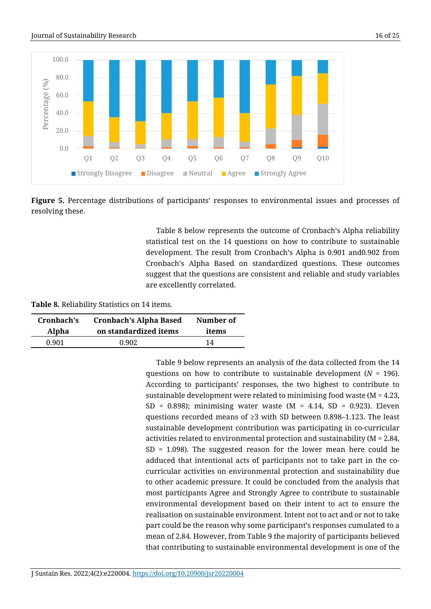



**Figure 5.** Percentage distributions of participants' responses to environmental issues and processes of resolving these.

Table 8 below represents the outcome of Cronbach's Alpha reliability statistical test on the 14 questions on how to contribute to sustainable development. The result from Cronbach's Alpha is 0.901 and0.902 from Cronbach's Alpha Based on standardized questions. These outcomes suggest that the questions are consistent and reliable and study variables are excellently correlated.

**Table 8.** Reliability Statistics on 14 items.

| Cronbach's | <b>Cronbach's Alpha Based</b> | Number of |
|------------|-------------------------------|-----------|
| Alpha      | on standardized items         | items     |
| 0.901      | 0.902                         | 14        |

Table 9 below represents an analysis of the data collected from the 14 questions on how to contribute to sustainable development (*N* = 196). According to participants' responses, the two highest to contribute to sustainable development were related to minimising food waste (M = 4.23, SD = 0.898); minimising water waste (M =  $4.14$ , SD = 0.923). Eleven questions recorded means of  $\geq$ 3 with SD between 0.898–1.123. The least sustainable development contribution was participating in co-curricular activities related to environmental protection and sustainability (M = 2.84, SD = 1.098). The suggested reason for the lower mean here could be adduced that intentional acts of participants not to take part in the cocurricular activities on environmental protection and sustainability due to other academic pressure. It could be concluded from the analysis that most participants Agree and Strongly Agree to contribute to sustainable environmental development based on their intent to act to ensure the realisation on sustainable environment. Intent not to act and or not to take part could be the reason why some participant's responses cumulated to a mean of 2.84. However, from Table 9 the majority of participants believed that contributing to sustainable environmental development is one of the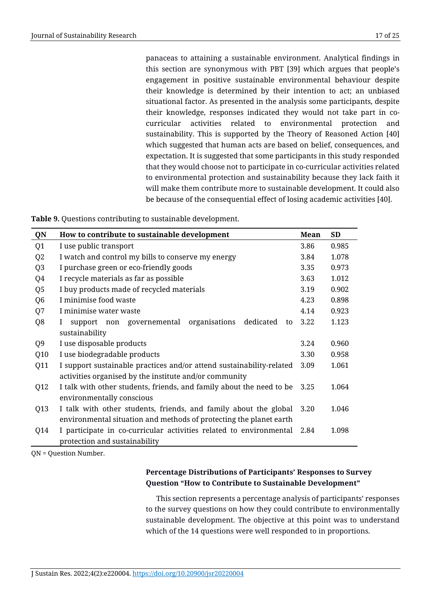panaceas to attaining a sustainable environment. Analytical findings in this section are synonymous with PBT [39] which argues that people's engagement in positive sustainable environmental behaviour despite their knowledge is determined by their intention to act; an unbiased situational factor. As presented in the analysis some participants, despite their knowledge, responses indicated they would not take part in cocurricular activities related to environmental protection and sustainability. This is supported by the Theory of Reasoned Action [40] which suggested that human acts are based on belief, consequences, and expectation. It is suggested that some participants in this study responded that they would choose not to participate in co-curricular activities related to environmental protection and sustainability because they lack faith it will make them contribute more to sustainable development. It could also be because of the consequential effect of losing academic activities [40].

| Table 9. Questions contributing to sustainable development. |  |
|-------------------------------------------------------------|--|
|-------------------------------------------------------------|--|

| QN             | How to contribute to sustainable development                              | Mean | <b>SD</b> |
|----------------|---------------------------------------------------------------------------|------|-----------|
| Q1             | I use public transport                                                    | 3.86 | 0.985     |
| Q <sub>2</sub> | I watch and control my bills to conserve my energy                        | 3.84 | 1.078     |
| Q <sub>3</sub> | I purchase green or eco-friendly goods                                    | 3.35 | 0.973     |
| Q4             | I recycle materials as far as possible                                    | 3.63 | 1.012     |
| Q <sub>5</sub> | I buy products made of recycled materials                                 | 3.19 | 0.902     |
| Q <sub>6</sub> | I minimise food waste                                                     | 4.23 | 0.898     |
| Q7             | I minimise water waste                                                    | 4.14 | 0.923     |
| Q8             | organisations<br>dedicated<br>support non governemental<br>to<br>$\bf{I}$ | 3.22 | 1.123     |
|                | sustainability                                                            |      |           |
| Q9             | I use disposable products                                                 | 3.24 | 0.960     |
| Q10            | I use biodegradable products                                              | 3.30 | 0.958     |
| Q11            | I support sustainable practices and/or attend sustainability-related      | 3.09 | 1.061     |
|                | activities organised by the institute and/or community                    |      |           |
| Q12            | I talk with other students, friends, and family about the need to be      | 3.25 | 1.064     |
|                | environmentally conscious                                                 |      |           |
| Q13            | I talk with other students, friends, and family about the global          | 3.20 | 1.046     |
|                | environmental situation and methods of protecting the planet earth        |      |           |
| Q14            | I participate in co-curricular activities related to environmental        | 2.84 | 1.098     |
|                | protection and sustainability                                             |      |           |

QN = Question Number.

# **Percentage Distributions of Participants' Responses to Survey Question "How to Contribute to Sustainable Development"**

This section represents a percentage analysis of participants' responses to the survey questions on how they could contribute to environmentally sustainable development. The objective at this point was to understand which of the 14 questions were well responded to in proportions.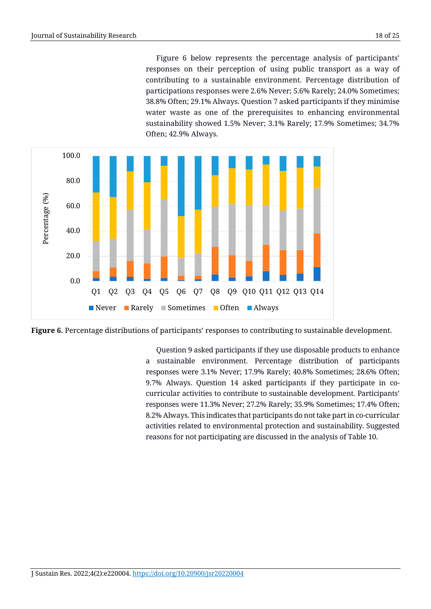Figure 6 below represents the percentage analysis of participants' responses on their perception of using public transport as a way of contributing to a sustainable environment. Percentage distribution of participations responses were 2.6% Never; 5.6% Rarely; 24.0% Sometimes; 38.8% Often; 29.1% Always. Question 7 asked participants if they minimise water waste as one of the prerequisites to enhancing environmental sustainability showed 1.5% Never; 3.1% Rarely; 17.9% Sometimes; 34.7% Often; 42.9% Always.



**Figure 6.** Percentage distributions of participants' responses to contributing to sustainable development.

Question 9 asked participants if they use disposable products to enhance a sustainable environment. Percentage distribution of participants responses were 3.1% Never; 17.9% Rarely; 40.8% Sometimes; 28.6% Often; 9.7% Always. Question 14 asked participants if they participate in cocurricular activities to contribute to sustainable development. Participants' responses were 11.3% Never; 27.2% Rarely; 35.9% Sometimes; 17.4% Often; 8.2% Always. This indicates that participants do not take part in co-curricular activities related to environmental protection and sustainability. Suggested reasons for not participating are discussed in the analysis of Table 10.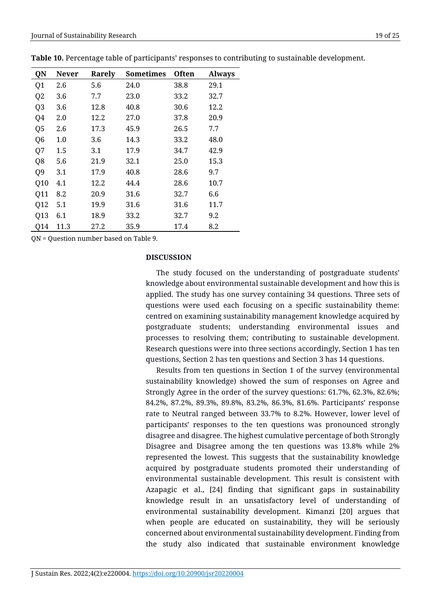| QN             | <b>Never</b> | Rarely | <b>Sometimes</b> | <b>Often</b> | <b>Always</b> |
|----------------|--------------|--------|------------------|--------------|---------------|
| Q1             | 2.6          | 5.6    | 24.0             | 38.8         | 29.1          |
| Q <sub>2</sub> | 3.6          | 7.7    | 23.0             | 33.2         | 32.7          |
| Q <sub>3</sub> | 3.6          | 12.8   | 40.8             | 30.6         | 12.2          |
| Q4             | 2.0          | 12.2   | 27.0             | 37.8         | 20.9          |
| Q5             | 2.6          | 17.3   | 45.9             | 26.5         | 7.7           |
| Q <sub>6</sub> | 1.0          | 3.6    | 14.3             | 33.2         | 48.0          |
| Q7             | 1.5          | 3.1    | 17.9             | 34.7         | 42.9          |
| Q8             | 5.6          | 21.9   | 32.1             | 25.0         | 15.3          |
| Q <sub>9</sub> | 3.1          | 17.9   | 40.8             | 28.6         | 9.7           |
| Q10            | 4.1          | 12.2   | 44.4             | 28.6         | 10.7          |
| Q11            | 8.2          | 20.9   | 31.6             | 32.7         | 6.6           |
| Q12            | 5.1          | 19.9   | 31.6             | 31.6         | 11.7          |
| Q13            | 6.1          | 18.9   | 33.2             | 32.7         | 9.2           |
| Q14            | 11.3         | 27.2   | 35.9             | 17.4         | 8.2           |

**Table 10.** Percentage table of participants' responses to contributing to sustainable development.

QN = Question number based on Table 9.

#### **DISCUSSION**

The study focused on the understanding of postgraduate students' knowledge about environmental sustainable development and how this is applied. The study has one survey containing 34 questions. Three sets of questions were used each focusing on a specific sustainability theme: centred on examining sustainability management knowledge acquired by postgraduate students; understanding environmental issues and processes to resolving them; contributing to sustainable development. Research questions were into three sections accordingly, Section 1 has ten questions, Section 2 has ten questions and Section 3 has 14 questions.

Results from ten questions in Section 1 of the survey (environmental sustainability knowledge) showed the sum of responses on Agree and Strongly Agree in the order of the survey questions: 61.7%, 62.3%, 82.6%; 84.2%, 87.2%, 89.3%, 89.8%, 83.2%, 86.3%, 81.6%. Participants' response rate to Neutral ranged between 33.7% to 8.2%. However, lower level of participants' responses to the ten questions was pronounced strongly disagree and disagree. The highest cumulative percentage of both Strongly Disagree and Disagree among the ten questions was 13.8% while 2% represented the lowest. This suggests that the sustainability knowledge acquired by postgraduate students promoted their understanding of environmental sustainable development. This result is consistent with Azapagic et al., [24] finding that significant gaps in sustainability knowledge result in an unsatisfactory level of understanding of environmental sustainability development. Kimanzi [20] argues that when people are educated on sustainability, they will be seriously concerned about environmental sustainability development. Finding from the study also indicated that sustainable environment knowledge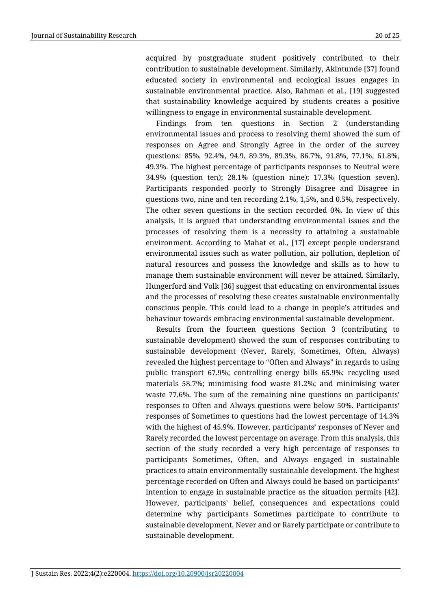acquired by postgraduate student positively contributed to their contribution to sustainable development. Similarly, Akintunde [37] found educated society in environmental and ecological issues engages in sustainable environmental practice. Also, Rahman et al., [19] suggested that sustainability knowledge acquired by students creates a positive willingness to engage in environmental sustainable development.

Findings from ten questions in Section 2 (understanding environmental issues and process to resolving them) showed the sum of responses on Agree and Strongly Agree in the order of the survey questions: 85%, 92.4%, 94.9, 89.3%, 89.3%, 86.7%, 91.8%, 77.1%, 61.8%, 49.3%. The highest percentage of participants responses to Neutral were 34.9% (question ten); 28.1% (question nine); 17.3% (question seven). Participants responded poorly to Strongly Disagree and Disagree in questions two, nine and ten recording 2.1%, 1,5%, and 0.5%, respectively. The other seven questions in the section recorded 0%. In view of this analysis, it is argued that understanding environmental issues and the processes of resolving them is a necessity to attaining a sustainable environment. According to Mahat et al., [17] except people understand environmental issues such as water pollution, air pollution, depletion of natural resources and possess the knowledge and skills as to how to manage them sustainable environment will never be attained. Similarly, Hungerford and Volk [36] suggest that educating on environmental issues and the processes of resolving these creates sustainable environmentally conscious people. This could lead to a change in people's attitudes and behaviour towards embracing environmental sustainable development.

Results from the fourteen questions Section 3 (contributing to sustainable development) showed the sum of responses contributing to sustainable development (Never, Rarely, Sometimes, Often, Always) revealed the highest percentage to "Often and Always" in regards to using public transport 67.9%; controlling energy bills 65.9%; recycling used materials 58.7%; minimising food waste 81.2%; and minimising water waste 77.6%. The sum of the remaining nine questions on participants' responses to Often and Always questions were below 50%. Participants' responses of Sometimes to questions had the lowest percentage of 14.3% with the highest of 45.9%. However, participants' responses of Never and Rarely recorded the lowest percentage on average. From this analysis, this section of the study recorded a very high percentage of responses to participants Sometimes, Often, and Always engaged in sustainable practices to attain environmentally sustainable development. The highest percentage recorded on Often and Always could be based on participants' intention to engage in sustainable practice as the situation permits [42]. However, participants' belief, consequences and expectations could determine why participants Sometimes participate to contribute to sustainable development, Never and or Rarely participate or contribute to sustainable development.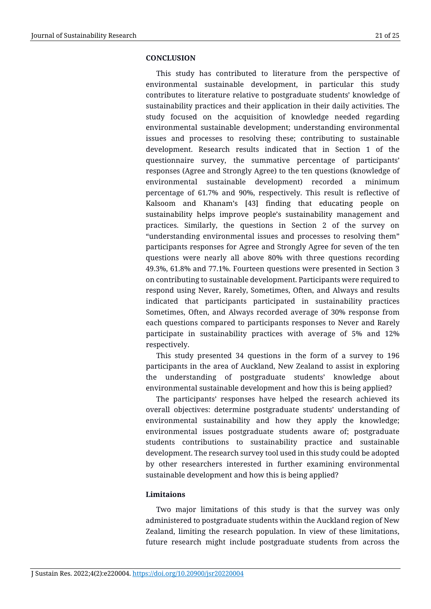#### **CONCLUSION**

This study has contributed to literature from the perspective of environmental sustainable development, in particular this study contributes to literature relative to postgraduate students' knowledge of sustainability practices and their application in their daily activities. The study focused on the acquisition of knowledge needed regarding environmental sustainable development; understanding environmental issues and processes to resolving these; contributing to sustainable development. Research results indicated that in Section 1 of the questionnaire survey, the summative percentage of participants' responses (Agree and Strongly Agree) to the ten questions (knowledge of environmental sustainable development) recorded a minimum percentage of 61.7% and 90%, respectively. This result is reflective of Kalsoom and Khanam's [43] finding that educating people on sustainability helps improve people's sustainability management and practices. Similarly, the questions in Section 2 of the survey on "understanding environmental issues and processes to resolving them" participants responses for Agree and Strongly Agree for seven of the ten questions were nearly all above 80% with three questions recording 49.3%, 61.8% and 77.1%. Fourteen questions were presented in Section 3 on contributing to sustainable development. Participants were required to respond using Never, Rarely, Sometimes, Often, and Always and results indicated that participants participated in sustainability practices Sometimes, Often, and Always recorded average of 30% response from each questions compared to participants responses to Never and Rarely participate in sustainability practices with average of 5% and 12% respectively.

This study presented 34 questions in the form of a survey to 196 participants in the area of Auckland, New Zealand to assist in exploring the understanding of postgraduate students' knowledge about environmental sustainable development and how this is being applied?

The participants' responses have helped the research achieved its overall objectives: determine postgraduate students' understanding of environmental sustainability and how they apply the knowledge; environmental issues postgraduate students aware of; postgraduate students contributions to sustainability practice and sustainable development. The research survey tool used in this study could be adopted by other researchers interested in further examining environmental sustainable development and how this is being applied?

### **Limitaions**

Two major limitations of this study is that the survey was only administered to postgraduate students within the Auckland region of New Zealand, limiting the research population. In view of these limitations, future research might include postgraduate students from across the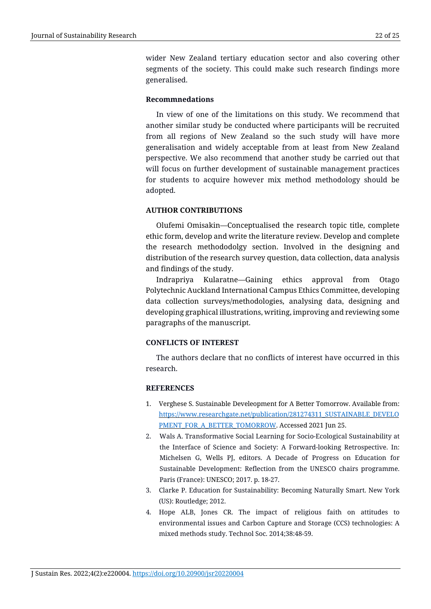wider New Zealand tertiary education sector and also covering other segments of the society. This could make such research findings more generalised.

### **Recommnedations**

In view of one of the limitations on this study. We recommend that another similar study be conducted where participants will be recruited from all regions of New Zealand so the such study will have more generalisation and widely acceptable from at least from New Zealand perspective. We also recommend that another study be carried out that will focus on further development of sustainable management practices for students to acquire however mix method methodology should be adopted.

### **AUTHOR CONTRIBUTIONS**

Olufemi Omisakin—Conceptualised the research topic title, complete ethic form, develop and write the literature review. Develop and complete the research methododolgy section. Involved in the designing and distribution of the research survey question, data collection, data analysis and findings of the study.

Indrapriya Kularatne—Gaining ethics approval from Otago Polytechnic Auckland International Campus Ethics Committee, developing data collection surveys/methodologies, analysing data, designing and developing graphical illustrations, writing, improving and reviewing some paragraphs of the manuscript.

### **CONFLICTS OF INTEREST**

The authors declare that no conflicts of interest have occurred in this research.

### **REFERENCES**

- 1. Verghese S. Sustainable Develeopment for A Better Tomorrow. Available from: [https://www.researchgate.net/publication/281274311\\_SUSTAINABLE\\_DEVELO](https://www.researchgate.net/publication/281274311_SUSTAINABLE_DEVELOPMENT_FOR_A_BETTER_TOMORROW) [PMENT\\_FOR\\_A\\_BETTER\\_TOMORROW.](https://www.researchgate.net/publication/281274311_SUSTAINABLE_DEVELOPMENT_FOR_A_BETTER_TOMORROW) Accessed 2021 Jun 25.
- 2. Wals A. Transformative Social Learning for Socio-Ecological Sustainability at the Interface of Science and Society: A Forward-looking Retrospective. In: Michelsen G, Wells PJ, editors. A Decade of Progress on Education for Sustainable Development: Reflection from the UNESCO chairs programme. Paris (France): UNESCO; 2017. p. 18-27.
- 3. Clarke P. Education for Sustainability: Becoming Naturally Smart. New York (US): Routledge; 2012.
- 4. Hope ALB, Jones CR. The impact of religious faith on attitudes to environmental issues and Carbon Capture and Storage (CCS) technologies: A mixed methods study. Technol Soc. 2014;38:48-59.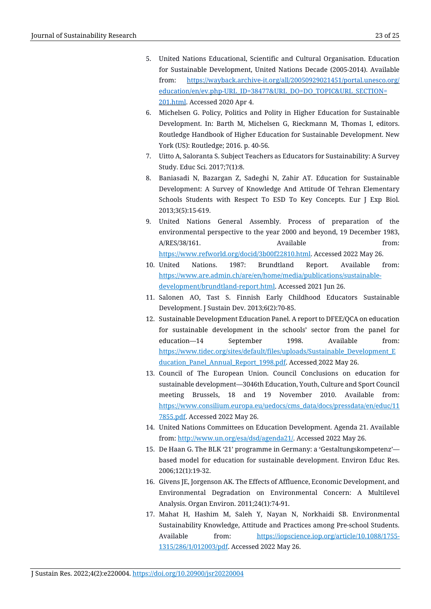- 5. United Nations Educational, Scientific and Cultural Organisation. Education for Sustainable Development, United Nations Decade (2005-2014). Available from: [https://wayback.archive-it.org/all/20050929021451/portal.unesco.org/](https://wayback.archive-it.org/all/20050929021451/portal.unesco.org/education/en/ev.php-URL_ID=38477&URL_DO=DO_TOPIC&URL_SECTION=201.html) [education/en/ev.php-URL\\_ID=38477&URL\\_DO=DO\\_TOPIC&URL\\_SECTION=](https://wayback.archive-it.org/all/20050929021451/portal.unesco.org/education/en/ev.php-URL_ID=38477&URL_DO=DO_TOPIC&URL_SECTION=201.html) [201.html.](https://wayback.archive-it.org/all/20050929021451/portal.unesco.org/education/en/ev.php-URL_ID=38477&URL_DO=DO_TOPIC&URL_SECTION=201.html) Accessed 2020 Apr 4.
- 6. Michelsen G. Policy, Politics and Polity in Higher Education for Sustainable Development. In: Barth M, Michelsen G, Rieckmann M, Thomas I, editors. Routledge Handbook of Higher Education for Sustainable Development. New York (US): Routledge; 2016. p. 40-56.
- 7. Uitto A, Saloranta S. Subject Teachers as Educators for Sustainability: A Survey Study. Educ Sci. 2017;7(1):8.
- 8. Baniasadi N, Bazargan Z, Sadeghi N, Zahir AT. Education for Sustainable Development: A Survey of Knowledge And Attitude Of Tehran Elementary Schools Students with Respect To ESD To Key Concepts. Eur J Exp Biol. 2013;3(5):15-619.
- 9. United Nations General Assembly. Process of preparation of the environmental perspective to the year 2000 and beyond, 19 December 1983, A/RES/38/161. Available from: [https://www.refworld.org/docid/3b00f22810.html.](https://www.refworld.org/docid/3b00f22810.html) Accessed 2022 May 26.
- 10. United Nations. 1987: Brundtland Report. Available from: [https://www.are.admin.ch/are/en/home/media/publications/sustainable](https://www.are.admin.ch/are/en/home/media/publications/sustainable-)development/brundtland-report.html. Accessed 2021 Jun 26.
- 11. Salonen AO, Tast S. Finnish Early Childhood Educators Sustainable Development. J Sustain Dev. 2013;6(2):70-85.
- 12. Sustainable Development Education Panel. A report to DFEE/QCA on education for sustainable development in the schools' sector from the panel for education—14 September 1998. Available from: [https://www.tidec.org/sites/default/files/uploads/Sustainable\\_Development\\_E](https://www.tidec.org/sites/default/files/uploads/Sustainable_Development_Education_Panel_Annual_Report_1998.pdf) [ducation\\_Panel\\_Annual\\_Report\\_1998.pdf.](https://www.tidec.org/sites/default/files/uploads/Sustainable_Development_Education_Panel_Annual_Report_1998.pdf) Accessed 2022 May 26.
- 13. Council of The European Union. Council Conclusions on education for sustainable development—3046th Education, Youth, Culture and Sport Council meeting Brussels, 18 and 19 November 2010. Available from: [https://www.consilium.europa.eu/uedocs/cms\\_data/docs/pressdata/en/educ/11](https://www.consilium.europa.eu/uedocs/cms_data/docs/pressdata/en/educ/117855.pdf) [7855.pdf.](https://www.consilium.europa.eu/uedocs/cms_data/docs/pressdata/en/educ/117855.pdf) Accessed 2022 May 26.
- 14. United Nations Committees on Education Development. Agenda 21. Available from: [http://www.un.org/esa/dsd/agenda21/.](http://www.un.org/esa/dsd/agenda21/) Accessed 2022 May 26.
- 15. De Haan G. The BLK '21' programme in Germany: a 'Gestaltungskompetenz' based model for education for sustainable development. Environ Educ Res. 2006;12(1):19-32.
- 16. Givens JE, Jorgenson AK. The Effects of Affluence, Economic Development, and Environmental Degradation on Environmental Concern: A Multilevel Analysis. Organ Environ. 2011;24(1):74-91.
- 17. Mahat H, Hashim M, Saleh Y, Nayan N, Norkhaidi SB. Environmental Sustainability Knowledge, Attitude and Practices among Pre-school Students. Available from: [https://iopscience.iop.org/article/10.1088/1755-](https://iopscience.iop.org/article/10.1088/1755-1315/286/1/012003/pdf) [1315/286/1/012003/pdf.](https://iopscience.iop.org/article/10.1088/1755-1315/286/1/012003/pdf) Accessed 2022 May 26.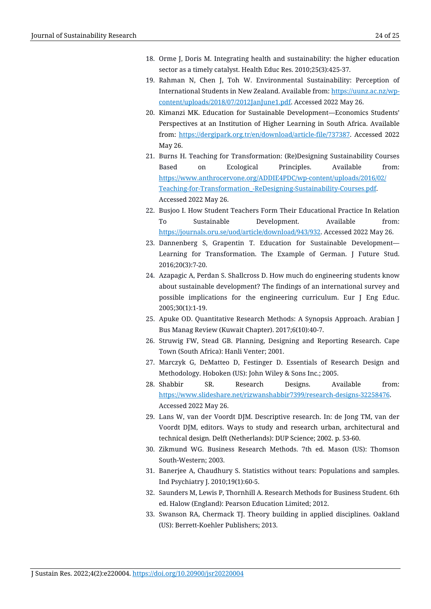- 18. Orme J, Doris M. Integrating health and sustainability: the higher education sector as a timely catalyst. Health Educ Res. 2010;25(3):425-37.
- 19. Rahman N, Chen J, Toh W. Environmental Sustainability: Perception of International Students in New Zealand. Available from: [https://uunz.ac.nz/wp](https://uunz.ac.nz/wp-content/uploads/2018/07/2012JanJune1.pdf)[content/uploads/2018/07/2012JanJune1.pdf.](https://uunz.ac.nz/wp-content/uploads/2018/07/2012JanJune1.pdf) Accessed 2022 May 26.
- 20. Kimanzi MK. Education for Sustainable Development—Economics Students' Perspectives at an Institution of Higher Learning in South Africa. Available from: [https://dergipark.org.tr/en/download/article-file/737387.](https://dergipark.org.tr/en/download/article-file/737387) Accessed 2022 May 26.
- 21. Burns H. Teaching for Transformation: (Re)Designing Sustainability Courses Based on Ecological Principles. Available from: [https://www.anthrocervone.org/ADDIE4PDC/wp-content/uploads/2016/02/](https://www.anthrocervone.org/ADDIE4PDC/wp-content/uploads/2016/02/Teaching-for-Transformation_-ReDesigning-Sustainability-Courses.pdf) [Teaching-for-Transformation\\_-ReDesigning-Sustainability-Courses.pdf.](https://www.anthrocervone.org/ADDIE4PDC/wp-content/uploads/2016/02/Teaching-for-Transformation_-ReDesigning-Sustainability-Courses.pdf) Accessed 2022 May 26.
- 22. Busjoo I. How Student Teachers Form Their Educational Practice In Relation To Sustainable Development. Available from: [https://journals.oru.se/uod/article/download/943/932.](https://journals.oru.se/uod/article/download/943/932) Accessed 2022 May 26.
- 23. Dannenberg S, Grapentin T. Education for Sustainable Development— Learning for Transformation. The Example of German. J Future Stud. 2016;20(3):7-20.
- 24. Azapagic A, Perdan S. Shallcross D. How much do engineering students know about sustainable development? The findings of an international survey and possible implications for the engineering curriculum. Eur J Eng Educ. 2005;30(1):1-19.
- 25. Apuke OD. Quantitative Research Methods: A Synopsis Approach. Arabian J Bus Manag Review (Kuwait Chapter). 2017;6(10):40-7.
- 26. Struwig FW, Stead GB. Planning, Designing and Reporting Research. Cape Town (South Africa): Hanli Venter; 2001.
- 27. Marczyk G, DeMatteo D, Festinger D. Essentials of Research Design and Methodology. Hoboken (US): John Wiley & Sons Inc.; 2005.
- 28. Shabbir SR. Research Designs. Available from: [https://www.slideshare.net/rizwanshabbir7399/research-designs-32258476.](https://www.slideshare.net/rizwanshabbir7399/research-designs-32258476)  Accessed 2022 May 26.
- 29. Lans W, van der Voordt DJM. Descriptive research. In: de Jong TM, van der Voordt DJM, editors. Ways to study and research urban, architectural and technical design. Delft (Netherlands): DUP [Science;](https://research.tudelft.nl/en/publications/descriptive-research-2) 2002. p. 53-60.
- 30. Zikmund WG. Business Research Methods. 7th ed. Mason (US): Thomson South-Western; 2003.
- 31. Banerjee A, Chaudhury S. Statistics without tears: Populations and samples. Ind Psychiatry J. 2010;19(1):60-5.
- 32. Saunders M, Lewis P, Thornhill A. Research Methods for Business Student. 6th ed. Halow (England): Pearson Education Limited; 2012.
- 33. Swanson RA, Chermack TJ. Theory building in applied disciplines. Oakland (US): Berrett-Koehler Publishers; 2013.